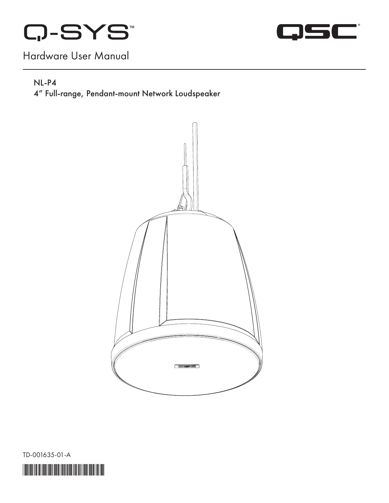



# Hardware User Manual

#### NL-P4

4" Full-range, Pendant-mount Network Loudspeaker



TD-001635-01-A

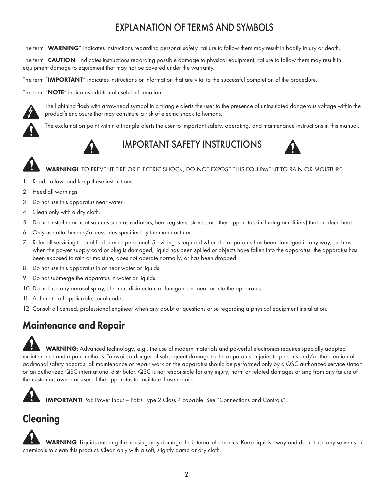## EXPLANATION OF TERMS AND SYMBOLS

The term "WARNING" indicates instructions regarding personal safety. Failure to follow them may result in bodily injury or death.

The term "**CAUTION**" indicates instructions regarding possible damage to physical equipment. Failure to follow them may result in equipment damage to equipment that may not be covered under the warranty.

The term "IMPORTANT" indicates instructions or information that are vital to the successful completion of the procedure.

The term "NOTE" indicates additional useful information.



The lightning flash with arrowhead symbol in a triangle alerts the user to the presence of uninsulated dangerous voltage within the product's enclosure that may constitute a risk of electric shock to humans.

The exclamation point within a triangle alerts the user to important safety, operating, and maintenance instructions in this manual.



IMPORTANT SAFETY INSTRUCTIONS



WARNING!: TO PREVENT FIRE OR ELECTRIC SHOCK, DO NOT EXPOSE THIS EQUIPMENT TO RAIN OR MOISTURE.

- 1. Read, follow, and keep these instructions.
- 2. Heed all warnings.
- 3. Do not use this apparatus near water.
- 4. Clean only with a dry cloth.
- 5. Do not install near heat sources such as radiators, heat registers, stoves, or other apparatus (including amplifiers) that produce heat.
- 6. Only use attachments/accessories specified by the manufacturer.
- 7. Refer all servicing to qualified service personnel. Servicing is required when the apparatus has been damaged in any way, such as when the power supply cord or plug is damaged, liquid has been spilled or objects have fallen into the apparatus, the apparatus has been exposed to rain or moisture, does not operate normally, or has been dropped.
- 8. Do not use this apparatus in or near water or liquids.
- 9. Do not submerge the apparatus in water or liquids.
- 10. Do not use any aerosol spray, cleaner, disinfectant or fumigant on, near or into the apparatus.
- 11. Adhere to all applicable, local codes.
- 12. Consult a licensed, professional engineer when any doubt or questions arise regarding a physical equipment installation.

## Maintenance and Repair

WARNING: Advanced technology, e.g., the use of modern materials and powerful electronics requires specially adapted maintenance and repair methods. To avoid a danger of subsequent damage to the apparatus, injuries to persons and/or the creation of additional safety hazards, all maintenance or repair work on the apparatus should be performed only by a QSC authorized service station or an authorized QSC international distributor. QSC is not responsible for any injury, harm or related damages arising from any failure of the customer, owner or user of the apparatus to facilitate those repairs.

IMPORTANT! PoE Power Input – PoE+ Type 2 Class 4 capable. See ["Connections and Controls".](#page-3-0)

# Cleaning

WARNING: Liquids entering the housing may damage the internal electronics. Keep liquids away and do not use any solvents or chemicals to clean this product. Clean only with a soft, slightly damp or dry cloth.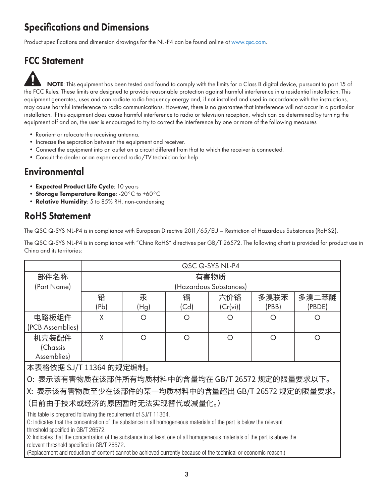# Specifications and Dimensions

Product specifications and dimension drawings for the NL-P4 can be found online at [www.qsc.com.](http://www.qsc.com)

# FCC Statement

NOTE: This equipment has been tested and found to comply with the limits for a Class B digital device, pursuant to part 15 of the FCC Rules. These limits are designed to provide reasonable protection against harmful interference in a residential installation. This equipment generates, uses and can radiate radio frequency energy and, if not installed and used in accordance with the instructions, may cause harmful interference to radio communications. However, there is no guarantee that interference will not occur in a particular installation. If this equipment does cause harmful interference to radio or television reception, which can be determined by turning the equipment off and on, the user is encouraged to try to correct the interference by one or more of the following measures

- Reorient or relocate the receiving antenna.
- Increase the separation between the equipment and receiver.
- Connect the equipment into an outlet on a circuit different from that to which the receiver is connected.
- Consult the dealer or an experienced radio/TV technician for help

## **Environmental**

- Expected Product Life Cycle: 10 years
- Storage Temperature Range: -20°C to +60°C
- Relative Humidity: 5 to 85% RH, non-condensing

## RoHS Statement

The QSC Q-SYS NL-P4 is in compliance with European Directive 2011/65/EU – Restriction of Hazardous Substances (RoHS2).

The QSC Q-SYS NL-P4 is in compliance with "China RoHS" directives per GB/T 26572. The following chart is provided for product use in China and its territories:

|                                                                                                                                                                                                                                                                                                                                                                                                                                                                                                                               | QSC Q-SYS NL-P4        |            |           |                 |               |                  |  |
|-------------------------------------------------------------------------------------------------------------------------------------------------------------------------------------------------------------------------------------------------------------------------------------------------------------------------------------------------------------------------------------------------------------------------------------------------------------------------------------------------------------------------------|------------------------|------------|-----------|-----------------|---------------|------------------|--|
| 部件名称                                                                                                                                                                                                                                                                                                                                                                                                                                                                                                                          | 有害物质                   |            |           |                 |               |                  |  |
| (Part Name)                                                                                                                                                                                                                                                                                                                                                                                                                                                                                                                   | (Hazardous Substances) |            |           |                 |               |                  |  |
|                                                                                                                                                                                                                                                                                                                                                                                                                                                                                                                               | 铅<br>(Pb)              | 汞<br>(Hg)  | 镉<br>(Cd) | 六价铬<br>(Cr(vi)) | 多溴联苯<br>(PBB) | 多溴二苯醚<br>(PBDE)  |  |
| 电路板组件<br>(PCB Assemblies)                                                                                                                                                                                                                                                                                                                                                                                                                                                                                                     | X                      | $\bigcirc$ | Ο         | Ω               | ∩             | $\left( \right)$ |  |
| 机壳装配件<br>(Chassis<br>Assemblies)                                                                                                                                                                                                                                                                                                                                                                                                                                                                                              | X                      | O          | O         | O               | $\bigcirc$    | ∩                |  |
| 本表格依据 SJ/T 11364 的规定编制。                                                                                                                                                                                                                                                                                                                                                                                                                                                                                                       |                        |            |           |                 |               |                  |  |
| O: 表示该有害物质在该部件所有均质材料中的含量均在 GB/T 26572 规定的限量要求以下。                                                                                                                                                                                                                                                                                                                                                                                                                                                                              |                        |            |           |                 |               |                  |  |
| X: 表示该有害物质至少在该部件的某一均质材料中的含量超出 GB/T 26572 规定的限量要求。                                                                                                                                                                                                                                                                                                                                                                                                                                                                             |                        |            |           |                 |               |                  |  |
| (目前由于技术或经济的原因暂时无法实现替代或减量化。)                                                                                                                                                                                                                                                                                                                                                                                                                                                                                                   |                        |            |           |                 |               |                  |  |
| This table is prepared following the requirement of SJ/T 11364.<br>O: Indicates that the concentration of the substance in all homogeneous materials of the part is below the relevant<br>threshold specified in GB/T 26572.<br>X: Indicates that the concentration of the substance in at least one of all homogeneous materials of the part is above the<br>relevant threshold specified in GB/T 26572.<br>(Replacement and reduction of content cannot be achieved currently because of the technical or economic reason.) |                        |            |           |                 |               |                  |  |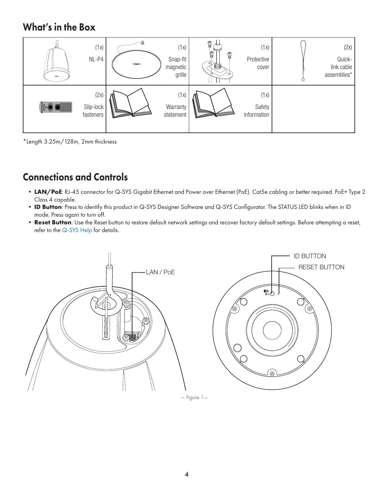## What's in the Box

| (1x)<br>$NL-P4$                | $\sim$ | (1x)<br>Snap-fit<br>magnetic<br>grille | 9<br>9<br>9<br>ඏ.<br>s<br>⊷ | (1x)<br>Protective<br>cover   | (2x)<br>Quick-<br>link cable<br>assemblies* |
|--------------------------------|--------|----------------------------------------|-----------------------------|-------------------------------|---------------------------------------------|
| (2x)<br>Slip-lock<br>fasteners |        | (1x)<br>Warranty<br>statement          |                             | (1x)<br>Safety<br>information |                                             |

\*Length 3.25m/128in, 2mm thickness

# <span id="page-3-0"></span>Connections and Controls

- LAN/PoE: RJ-45 connector for Q-SYS Gigabit Ethernet and Power over Ethernet (PoE). Cat5e cabling or better required. PoE+ Type 2 Class 4 capable.
- **• ID Button**: Press to identify this product in Q-SYS Designer Software and Q-SYS Configurator. The STATUS LED blinks when in ID mode. Press again to turn off.
- **• Reset Button**: Use the Reset button to restore default network settings and recover factory default settings. Before attempting a reset, refer to the [Q-SYS Help](https://q-syshelp.qsc.com/) for details.



— Figure 1—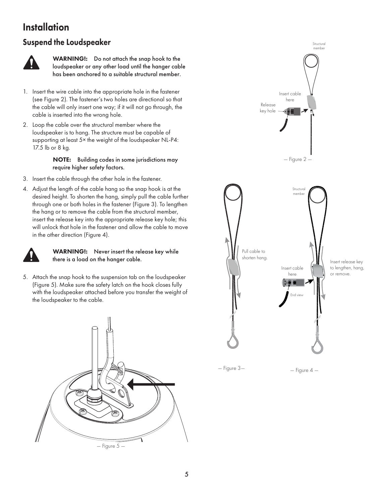## **Installation**

### Suspend the Loudspeaker



WARNING!: Do not attach the snap hook to the loudspeaker or any other load until the hanger cable has been anchored to a suitable structural member.

- 1. Insert the wire cable into the appropriate hole in the fastener (see Figure 2). The fastener's two holes are directional so that the cable will only insert one way; if it will not go through, the cable is inserted into the wrong hole.
- 2. Loop the cable over the structural member where the loudspeaker is to hang. The structure must be capable of supporting at least 5× the weight of the loudspeaker NL-P4: 17.5 lb or 8 kg.

NOTE: Building codes in some jurisdictions may require higher safety factors.

- 3. Insert the cable through the other hole in the fastener.
- 4. Adjust the length of the cable hang so the snap hook is at the desired height. To shorten the hang, simply pull the cable further through one or both holes in the fastener (Figure 3). To lengthen the hang or to remove the cable from the structural member, insert the release key into the appropriate release key hole; this will unlock that hole in the fastener and allow the cable to move in the other direction (Figure 4).



#### WARNING!: Never insert the release key while there is a load on the hanger cable.

5. Attach the snap hook to the suspension tab on the loudspeaker (Figure 5). Make sure the safety latch on the hook closes fully with the loudspeaker attached before you transfer the weight of the loudspeaker to the cable.



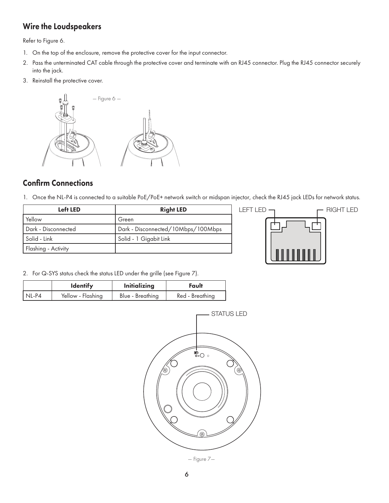### Wire the Loudspeakers

Refer to Figure 6.

- 1. On the top of the enclosure, remove the protective cover for the input connector.
- 2. Pass the unterminated CAT cable through the protective cover and terminate with an RJ45 connector. Plug the RJ45 connector securely into the jack.
- 3. Reinstall the protective cover.



### Confirm Connections

1. Once the NL-P4 is connected to a suitable PoE/PoE+ network switch or midspan injector, check the RJ45 jack LEDs for network status.

| Left LED            | <b>Right LED</b>                   |  |  |
|---------------------|------------------------------------|--|--|
| Yellow              | Green                              |  |  |
| Dark - Disconnected | Dark - Disconnected/10Mbps/100Mbps |  |  |
| Solid - Link        | Solid - 1 Gigabit Link             |  |  |
| Flashing - Activity |                                    |  |  |



2. For Q-SYS status check the status LED under the grille (see Figure 7).

|         | <b>Identify</b>   | <b>Initializing</b> | Fault           |  |
|---------|-------------------|---------------------|-----------------|--|
| $NL-P4$ | Yellow - Flashing | Blue - Breathing    | Red - Breathing |  |



— Figure 7—